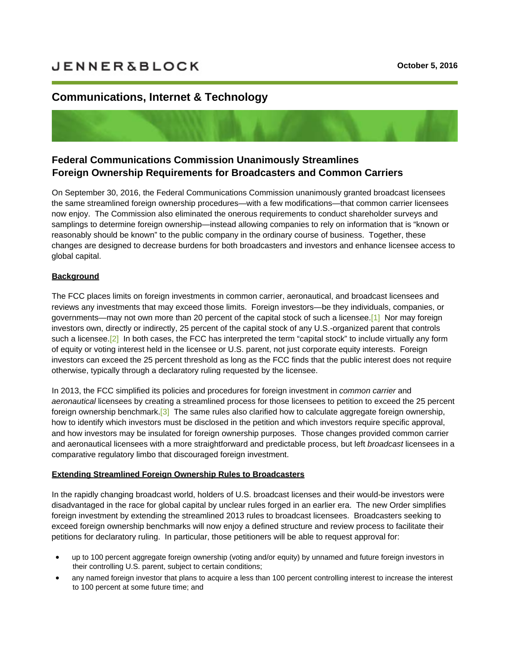# <span id="page-0-0"></span>**[Communications,](https://sites-jenner.vuturevx.com/email_handler.aspx?sid=b0021816-d9f7-455f-8ada-335d6f425afb&redirect=https%3a%2f%2fsites-jenner.vuturevx.com%2f30%2f564%2foctober-2016%2ffcc-streamlines-foreign-ownership-requirements.asp) Internet & Technology**

# **Federal Communications Commission Unanimously Streamlines Foreign Ownership Requirements for Broadcasters and Common Carriers**

On September 30, 2016, the Federal Communications Commission unanimously granted broadcast licensees the same streamlined foreign ownership procedures—with a few modifications—that common carrier licensees now enjoy. The Commission also eliminated the onerous requirements to conduct shareholder surveys and samplings to determine foreign ownership—instead allowing companies to rely on information that is "known or reasonably should be known" to the public company in the ordinary course of business. Together, these changes are designed to decrease burdens for both broadcasters and investors and enhance licensee access to global capital.

### **Background**

The FCC places limits on foreign investments in common carrier, aeronautical, and broadcast licensees and reviews any investments that may exceed those limits. Foreign investors—be they individuals, companies, or governments—may not own more than 20 percent of the capital stock of such a licensee.[1] Nor may foreign investors own, directly or indirectly, 25 percent of the capital stock of any U.S.-organized parent that controls such a licensee.<sup>[2]</sup> In both cases, the FCC has interpreted the term "capital stock" to include virtually any form of equity or voting interest held in the licensee or U.S. parent, not just corporate equity int[eres](#page-0-0)ts. Foreign investors can exceed the 25 percent threshold as long as the FCC finds that the public interest does not require otherwise, typic[ally](#page-0-0) through a declaratory ruling requested by the licensee.

<span id="page-0-2"></span><span id="page-0-1"></span>In 2013, the FCC simplified its policies and procedures for foreign investment in *common carrier* and *aeronautical* licensees by creating a streamlined process for those licensees to petition to exceed the 25 percent foreign ownership benchmark.<sup>[3]</sup> The same rules also clarified how to calculate aggregate foreign ownership, how to identify which investors must be disclosed in the petition and which investors require specific approval, and how investors may be insulated for foreign ownership purposes. Those changes provided common carrier and aeronautical licensees wit[h a](#page-0-0) more straightforward and predictable process, but left *broadcast* licensees in a comparative regulatory limbo that discouraged foreign investment.

#### <span id="page-0-3"></span>**Extending Streamlined Foreign Ownership Rules to Broadcasters**

In the rapidly changing broadcast world, holders of U.S. broadcast licenses and their would-be investors were disadvantaged in the race for global capital by unclear rules forged in an earlier era. The new Order simplifies foreign investment by extending the streamlined 2013 rules to broadcast licensees. Broadcasters seeking to exceed foreign ownership benchmarks will now enjoy a defined structure and review process to facilitate their petitions for declaratory ruling. In particular, those petitioners will be able to request approval for:

- up to 100 percent aggregate foreign ownership (voting and/or equity) by unnamed and future foreign investors in their controlling U.S. parent, subject to certain conditions;
- any named foreign investor that plans to acquire a less than 100 percent controlling interest to increase the interest to 100 percent at some future time; and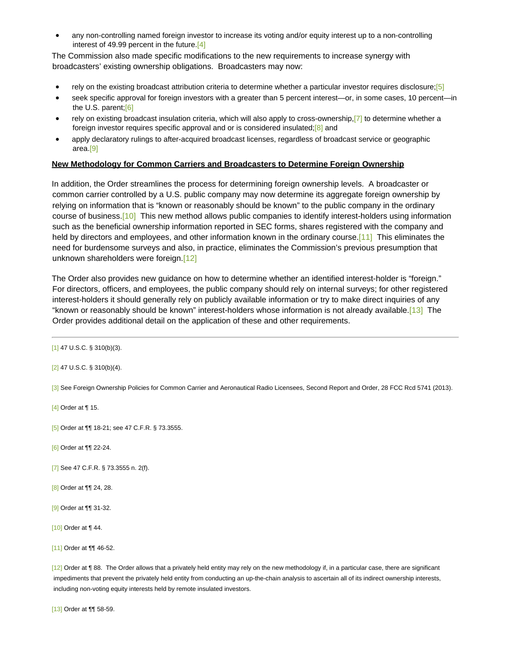any non-controlling named foreign investor to increase its voting and/or equity interest up to a non-controlling interest of 49.99 percent in the future[.\[4\]](#page-0-0)

<span id="page-1-0"></span>The Commission also made specific modifications to the new requirements to increase synergy with broadcasters' existing ownership obligations. Broadcasters may now:

- <span id="page-1-1"></span>rely on the existing broadcast attribution criteria to determine whether a particular investor requires disclosure;[\[5\]](#page-0-0)
- <span id="page-1-2"></span>· seek specific approval for foreign investors with a greater than 5 percent interest—or, in some cases, 10 percent—in the U.S. parent[;\[6\]](#page-0-0)
- <span id="page-1-4"></span><span id="page-1-3"></span>rely on existing broadcast insulation criteria, which will also apply to cross-ownership[,\[7\]](#page-0-0) to determine whether a foreign investor requires specific approval and or is considered insulated[;\[8\]](#page-0-0) and
- apply declaratory rulings to after-acquired broadcast licenses, regardless of broadcast service or geographic area[.\[9\]](#page-0-0)

# <span id="page-1-5"></span>**New Methodology for Common Carriers and Broadcasters to Determine Foreign Ownership**

<span id="page-1-6"></span>In addition, the Order streamlines the process for determining foreign ownership levels. A broadcaster or common carrier controlled by a U.S. public company may now determine its aggregate foreign ownership by relying on information that is "known or reasonably should be known" to the public company in the ordinary course of business.[\[10\]](#page-0-0) This new method allows public companies to identify interest-holders using information such as the beneficial ownership information reported in SEC forms, shares registered with the company and held by directors and employees, and other information known in the ordinary course.[\[11\]](#page-0-0) This eliminates the need for burdensome surveys and also, in practice, eliminates the Commission's previous presumption that unknown shareholders were foreign.[\[12\]](#page-0-0)

<span id="page-1-9"></span><span id="page-1-8"></span><span id="page-1-7"></span>The Order also provides new guidance on how to determine whether an identified interest-holder is "foreign." For directors, officers, and employees, the public company should rely on internal surveys; for other registered interest-holders it should generally rely on publicly available information or try to make direct inquiries of any "known or reasonably should be known" interest-holders whose information is not already available.[\[13\]](#page-0-0) The Order provides additional detail on the application of these and other requirements.

[\[3\]](#page-0-3) See Foreign Ownership Policies for Common Carrier and Aeronautical Radio Licensees, Second Report and Order, 28 FCC Rcd 5741 (2013).

[\[4\]](#page-1-0) Order at ¶ 15.

[\[5\]](#page-1-1) Order at ¶¶ 18-21; see 47 C.F.R. § 73.3555.

[\[6\]](#page-1-2) Order at ¶¶ 22-24.

- [\[7\]](#page-1-3) See 47 C.F.R. § 73.3555 n. 2(f).
- [\[8\]](#page-1-4) Order at ¶¶ 24, 28.
- [\[9\]](#page-1-5) Order at ¶¶ 31-32.

[\[10\]](#page-1-6) Order at ¶ 44.

[\[11\]](#page-1-7) Order at **¶** 46-52.

[\[12\]](#page-1-8) Order at ¶ 88. The Order allows that a privately held entity may rely on the new methodology if, in a particular case, there are significant impediments that prevent the privately held entity from conducting an up-the-chain analysis to ascertain all of its indirect ownership interests, including non-voting equity interests held by remote insulated investors.

[\[13\]](#page-1-9) Order at ¶¶ 58-59.

[<sup>\[1\]</sup>](#page-0-1) 47 U.S.C. § 310(b)(3).

[<sup>\[2\]</sup>](#page-0-2) 47 U.S.C. § 310(b)(4).